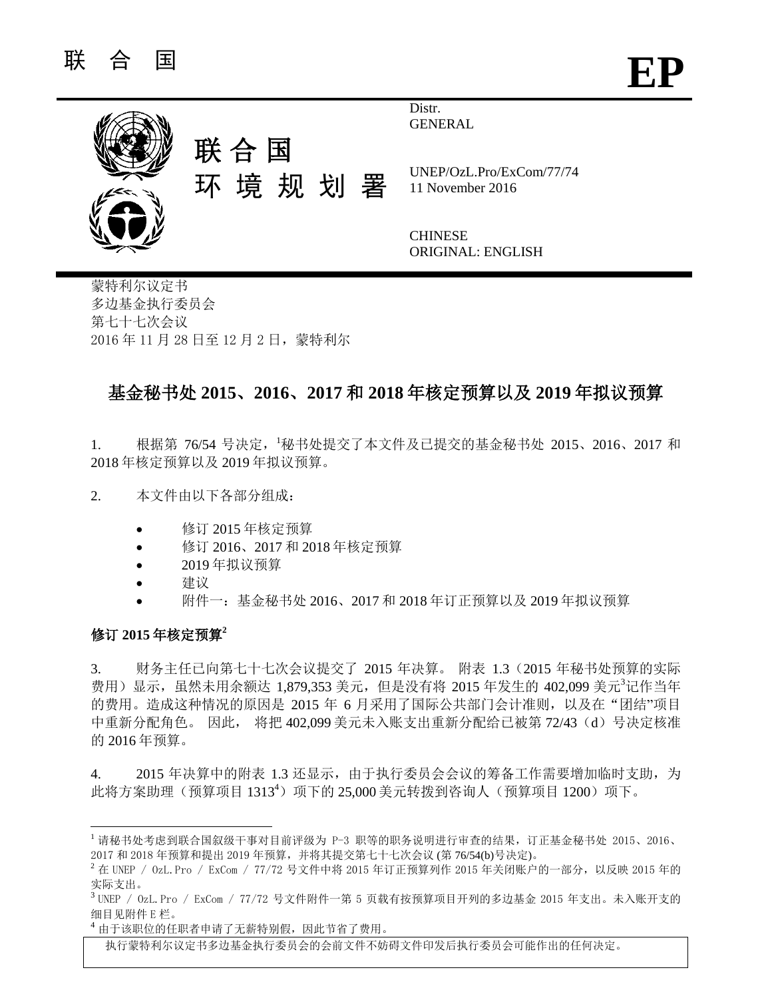

Distr. **GENERAL** 

UNEP/OzL.Pro/ExCom/77/74 11 November 2016

**CHINESE** ORIGINAL: ENGLISH

蒙特利尔议定书 多边基金执行委员会 第七十七次会议 2016 年 11 月 28 日至 12 月 2 日,蒙特利尔

# 基金秘书处 **2015**、**2016**、**2017** 和 **2018** 年核定预算以及 **2019** 年拟议预算

1. 根据第 76/54 号决定,<sup>1</sup>秘书处提交了本文件及已提交的基金秘书处 2015、2016、2017 和 2018 年核定预算以及 2019 年拟议预算。

- 2. 本文件由以下各部分组成:
	- 修订 2015 年核定预算
	- 修订 2016、2017 和 2018 年核定预算
	- 2019 年拟议预算
	- 建议
	- 附件一:基金秘书处 2016、2017 和 2018 年订正预算以及 2019 年拟议预算

## 修订 **2015** 年核定预算**<sup>2</sup>**

l

3. 财务主任已向第七十七次会议提交了 2015 年决算。 附表 1.3(2015 年秘书处预算的实际 费用)显示,虽然未用余额达 1,879,353 美元, 但是没有将 2015 年发生的 402,099 美元3记作当年 的费用。造成这种情况的原因是 2015 年 6 月采用了国际公共部门会计准则, 以及在"团结"项目 中重新分配角色。 因此, 将把 402,099 美元未入账支出重新分配给已被第 72/43(d)号决定核准 的 2016 年预算。

4. 2015 年决算中的附表 1.3 还显示,由于执行委员会会议的筹备工作需要增加临时支助,为 此将方案助理(预算项目 1313<sup>4</sup>)项下的 25,000 美元转拨到咨询人(预算项目 1200)项下。

<sup>1</sup> 请秘书处考虑到联合国叙级干事对目前评级为 P-3 职等的职务说明进行审查的结果,订正基金秘书处 2015、2016、 2017 和 2018 年预算和提出 2019 年预算,并将其提交第七十七次会议 (第 76/54(b)号决定)。

<sup>2</sup> 在 UNEP / OzL.Pro / ExCom / 77/72 号文件中将 2015 年订正预算列作 2015 年关闭账户的一部分,以反映 2015 年的 实际支出。

<sup>。&</sup>lt;br>3 UNEP / OzL.Pro / ExCom / 77/72 号文件附件一第 5 页载有按预算项目开列的多边基金 2015 年支出。未入账开支的 细目见附件 E 栏。

<sup>4</sup> 由于该职位的任职者申请了无薪特别假,因此节省了费用。

执行蒙特利尔议定书多边基金执行委员会的会前文件不妨碍文件印发后执行委员会可能作出的任何决定。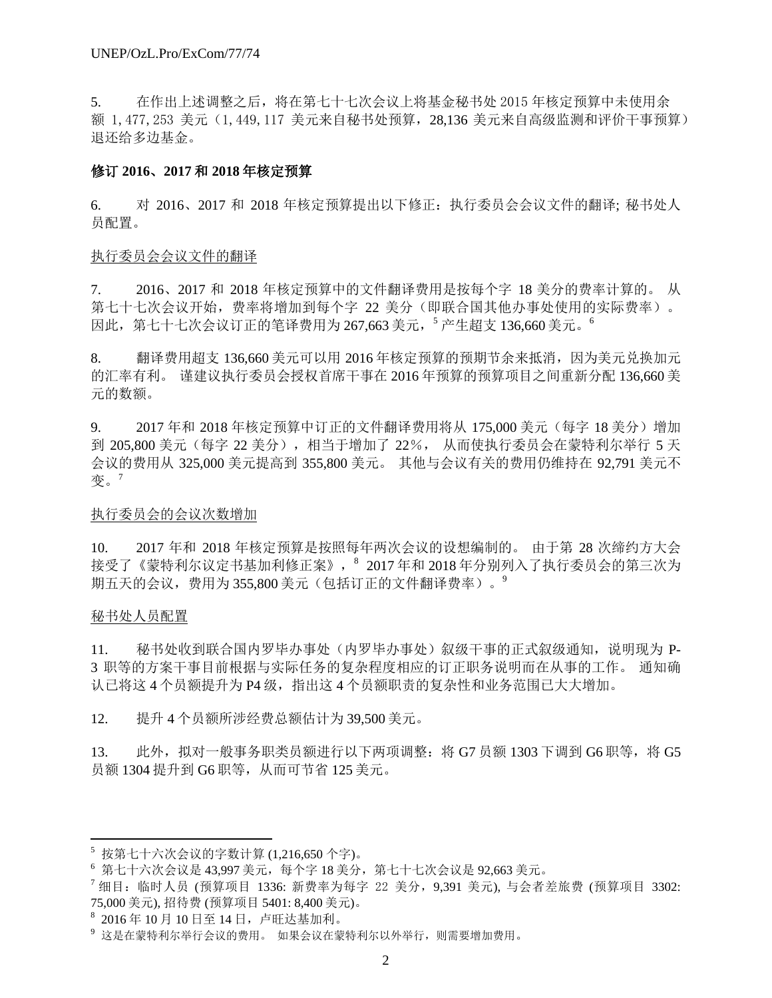5. 在作出上述调整之后,将在第七十七次会议上将基金秘书处 2015 年核定预算中未使用余 额 1,477,253 美元(1,449,117 美元来自秘书处预算,28,136 美元来自高级监测和评价干事预算) 退还给多边基金。

#### 修订 **2016**、**2017** 和 **2018** 年核定预算

6. 对 2016、2017 和 2018 年核定预算提出以下修正:执行委员会会议文件的翻译; 秘书处人 员配置。

#### 执行委员会会议文件的翻译

7. 2016、2017 和 2018 年核定预算中的文件翻译费用是按每个字 18 美分的费率计算的。 从 第七十七次会议开始,费率将增加到每个字 22 美分(即联合国其他办事处使用的实际费率)。 因此,第七十七次会议订正的笔译费用为 267,663 美元, <sup>5</sup> 产生超支 136,660 美元。<sup>6</sup>

8. 翻译费用超支 136,660 美元可以用 2016 年核定预算的预期节余来抵消,因为美元兑换加元 的汇率有利。 谨建议执行委员会授权首席干事在 2016 年预算的预算项目之间重新分配 136,660 美 元的数额。

9. 2017 年和 2018 年核定预算中订正的文件翻译费用将从 175,000 美元(每字 18 美分)增加 到 205,800 美元(每字 22 美分), 相当于增加了 22%, 从而使执行委员会在蒙特利尔举行 5 天 会议的费用从 325,000 美元提高到 355,800 美元。 其他与会议有关的费用仍维持在 92,791 美元不 变。<sup>7</sup>

#### 执行委员会的会议次数增加

10. 2017 年和 2018 年核定预算是按照每年两次会议的设想编制的。 由于第 28 次缔约方大会 接受了《蒙特利尔议定书基加利修正案》, 8 2017年和 2018年分别列入了执行委员会的第三次为 期五天的会议,费用为 355,800 美元(包括订正的文件翻译费率)。<sup>9</sup>

#### 秘书处人员配置

 $\overline{a}$ 

11. 秘书处收到联合国内罗毕办事处(内罗毕办事处)叙级干事的正式叙级通知,说明现为 P-3 职等的方案干事目前根据与实际任务的复杂程度相应的订正职务说明而在从事的工作。 通知确 认已将这 4 个员额提升为 P4 级, 指出这 4 个员额职责的复杂性和业务范围已大大增加。

12. 提升 4 个员额所涉经费总额估计为 39,500 美元。

13. 此外,拟对一般事务职类员额进行以下两项调整: 将 G7 员额 1303 下调到 G6 职等,将 G5 员额 1304 提升到 G6 职等, 从而可节省 125 美元。

<sup>5</sup> 按第七十六次会议的字数计算 (1,216,650 个字)。

<sup>6</sup> 第七十六次会议是 43,997 美元,每个字 18 美分,第七十七次会议是 92,663 美元。

 $^7$ 细目: 临时人员 (预算项目 1336: 新费率为每字 22 美分, 9,391 美元), 与会者差旅费 (预算项目 3302: 75,000 美元), 招待费 (预算项目 5401: 8,400 美元)。

<sup>8</sup> 2016 年 10 月 10 日至 14 日,卢旺达基加利。

<sup>9</sup> 这是在蒙特利尔举行会议的费用。 如果会议在蒙特利尔以外举行,则需要增加费用。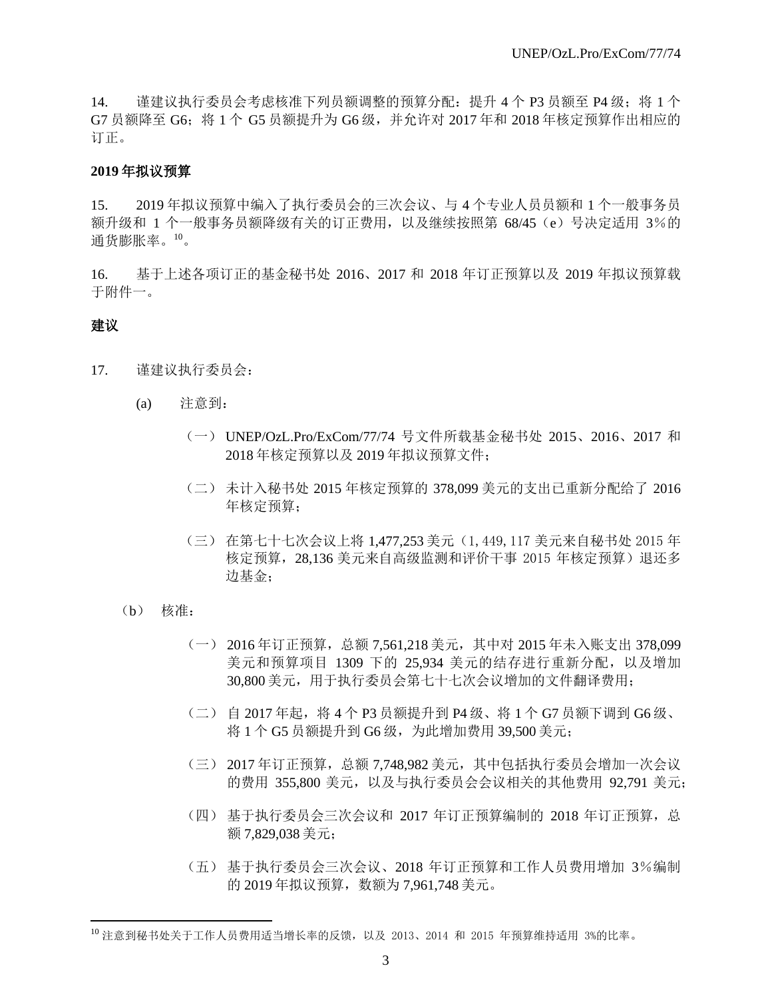14. 谨建议执行委员会考虑核准下列员额调整的预算分配: 提升 4 个 P3 员额至 P4 级: 将 1 个 G7 员额降至 G6;将 1 个 G5 员额提升为 G6 级,并允许对 2017 年和 2018 年核定预算作出相应的 订正。

#### **2019** 年拟议预算

15. 2019 年拟议预算中编入了执行委员会的三次会议、与 4 个专业人员员额和 1 个一般事务员 额升级和 1 个一般事务员额降级有关的订正费用,以及继续按照第 68/45(e)号决定适用 3%的 通货膨胀率。<sup>10</sup>。

16. 基于上述各项订正的基金秘书处 2016、2017 和 2018 年订正预算以及 2019 年拟议预算载 于附件一。

### 建议

- 17. 谨建议执行委员会:
	- (a) 注意到:
		- (一) UNEP/OzL.Pro/ExCom/77/74 号文件所载基金秘书处 2015、2016、2017 和 2018 年核定预算以及 2019 年拟议预算文件;
		- (二) 未计入秘书处 2015 年核定预算的 378,099 美元的支出已重新分配给了 2016 年核定预算;
		- (三) 在第七十七次会议上将 1,477,253 美元(1,449,117 美元来自秘书处 2015 年 核定预算, 28,136 美元来自高级监测和评价干事 2015 年核定预算) 退还多 边基金;
	- (b) 核准:

 $\overline{\phantom{a}}$ 

- (一) 2016 年订正预算,总额 7,561,218 美元,其中对 2015 年未入账支出 378,099 美元和预算项目 1309 下的 25,934 美元的结存进行重新分配,以及增加 30,800 美元,用于执行委员会第七十七次会议增加的文件翻译费用;
- (二) 自 2017 年起,将 4 个 P3 员额提升到 P4 级、将 1 个 G7 员额下调到 G6 级、 将 1 个 G5 员额提升到 G6 级, 为此增加费用 39.500 美元;
- (三) 2017 年订正预算,总额 7,748,982 美元,其中包括执行委员会增加一次会议 的费用 355,800 美元, 以及与执行委员会会议相关的其他费用 92,791 美元;
- (四) 基于执行委员会三次会议和 2017 年订正预算编制的 2018 年订正预算, 总 额 7,829,038 美元;
- (五) 基于执行委员会三次会议、2018 年订正预算和工作人员费用增加 3%编制 的 2019 年拟议预算,数额为 7,961,748 美元。

<sup>10</sup> 注意到秘书处关于工作人员费用适当增长率的反馈,以及 2013、2014 和 2015 年预算维持适用 3%的比率。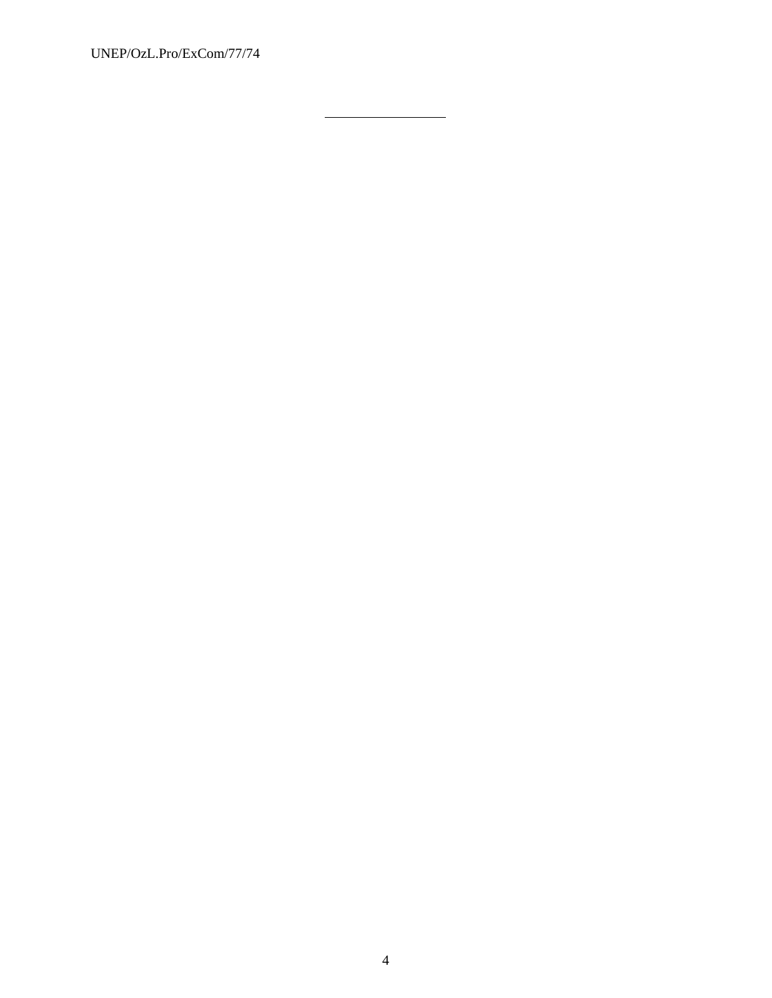UNEP/OzL.Pro/ExCom/77/74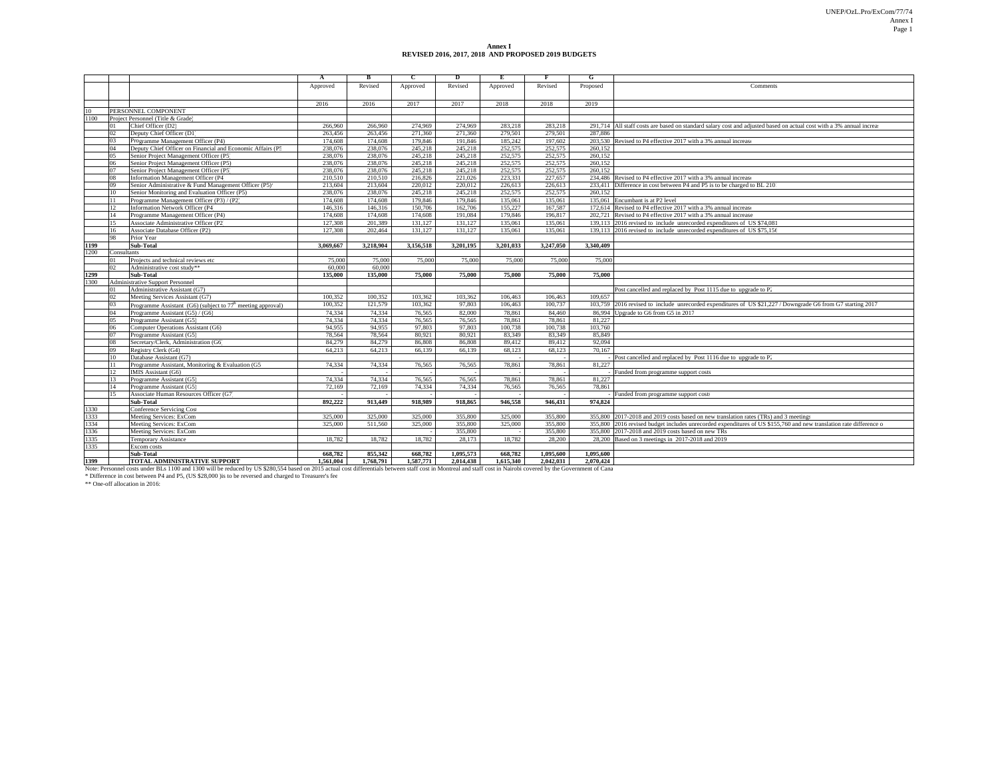# **Annex I<br>REVISED 2016, 2017, 2018 AND PROPOSED 2019 BUDGETS**

|      |             |                                                                   | A         | $\overline{\mathbf{B}}$ | C         | D         | E         | F         | G         |                                                                                                                     |
|------|-------------|-------------------------------------------------------------------|-----------|-------------------------|-----------|-----------|-----------|-----------|-----------|---------------------------------------------------------------------------------------------------------------------|
|      |             |                                                                   | Approved  | Revised                 | Approved  | Revised   | Approved  | Revised   | Proposed  | Comments                                                                                                            |
|      |             |                                                                   |           |                         |           |           |           |           |           |                                                                                                                     |
|      |             |                                                                   | 2016      | 2016                    | 2017      | 2017      | 2018      | 2018      | 2019      |                                                                                                                     |
| 10   |             | PERSONNEL COMPONENT                                               |           |                         |           |           |           |           |           |                                                                                                                     |
| 1100 |             | Project Personnel (Title & Grade)                                 |           |                         |           |           |           |           |           |                                                                                                                     |
|      | 01          | Chief Officer (D2)                                                | 266,960   | 266,960                 | 274,969   | 274,969   | 283,218   | 283,218   |           | 291,714 All staff costs are based on standard salary cost and adjusted based on actual cost with a 3% annual increa |
|      | 02          | Deputy Chief Officer (D1)                                         | 263,456   | 263,456                 | 271.360   | 271.360   | 279,501   | 279,501   | 287,886   |                                                                                                                     |
|      | 03          | Programme Management Officer (P4)                                 | 174,608   | 174,608                 | 179,846   | 191,846   | 185,242   | 197,602   |           | 203,530 Revised to P4 effective 2017 with a 3% annual increase                                                      |
|      | 04          | Deputy Chief Officer on Financial and Economic Affairs (P5        | 238,076   | 238,076                 | 245,218   | 245.218   | 252,575   | 252,575   | 260.152   |                                                                                                                     |
|      | 05          | Senior Project Management Officer (P5                             | 238,076   | 238,076                 | 245,218   | 245,218   | 252,575   | 252,575   | 260.152   |                                                                                                                     |
|      | 06          | Senior Project Management Officer (P5)                            | 238,076   | 238,076                 | 245,218   | 245,218   | 252,575   | 252,575   | 260,152   |                                                                                                                     |
|      | 07          | Senior Project Management Officer (P5                             | 238,076   | 238,076                 | 245.218   | 245.218   | 252,575   | 252.575   | 260.152   |                                                                                                                     |
|      | 08          | Information Management Officer (P4                                | 210,510   | 210,510                 | 216,826   | 221,026   | 223,331   | 227,657   |           | 234,486 Revised to P4 effective 2017 with a 3% annual increase                                                      |
|      | 09          | Senior Administrative & Fund Management Officer (P5) <sup>*</sup> | 213,604   | 213,604                 | 220,012   | 220,012   | 226,613   | 226,613   | 233.411   |                                                                                                                     |
|      | 10          | Senior Monitoring and Evaluation Officer (P5)                     | 238,076   | 238,076                 | 245.218   | 245.218   | 252,575   | 252.575   | 260.152   | Difference in cost between P4 and P5 is to be charged to BL 210                                                     |
|      |             |                                                                   |           |                         |           |           | 135,061   | 135,061   |           |                                                                                                                     |
|      | 11          | Programme Management Officer (P3) / (P2)                          | 174,608   | 174,608                 | 179,846   | 179,846   |           |           |           | 135,061 Encumbant is at P2 level                                                                                    |
|      | 12          | Information Network Officer (P4)                                  | 146.316   | 146,316                 | 150,706   | 162,706   | 155,227   | 167.587   |           | 172,614 Revised to P4 effective 2017 with a 3% annual increase                                                      |
|      | 14          | Programme Management Officer (P4)                                 | 174,608   | 174,608                 | 174,608   | 191,084   | 179,846   | 196,817   |           | 202,721 Revised to P4 effective 2017 with a 3% annual increase                                                      |
|      | 15          | Associate Administrative Officer (P2)                             | 127,308   | 201,389                 | 131,127   | 131,127   | 135,061   | 135,061   |           | 139,113 2016 revised to include unrecorded expenditures of US \$74,081                                              |
|      | 16          | Associate Database Officer (P2)                                   | 127.308   | 202.464                 | 131.127   | 131.127   | 135,061   | 135,061   |           | 139,113 2016 revised to include unrecorded expenditures of US \$75,156                                              |
|      | 98          | Prior Year                                                        |           |                         |           |           |           |           |           |                                                                                                                     |
| 1199 |             | Sub-Total                                                         | 3.069.667 | 3.218.904               | 3,156,518 | 3.201.195 | 3.201.033 | 3,247,050 | 3.340.409 |                                                                                                                     |
| 1200 | Consultants |                                                                   |           |                         |           |           |           |           |           |                                                                                                                     |
|      | $^{\Omega}$ | Projects and technical reviews etc                                | 75,000    | 75,000                  | 75,000    | 75,000    | 75,000    | 75,000    | 75,000    |                                                                                                                     |
|      | 02          | Administrative cost study**                                       | 60,000    | 60,000                  |           |           |           |           |           |                                                                                                                     |
| 1299 |             | Sub-Total                                                         | 135,000   | 135,000                 | 75,000    | 75,000    | 75,000    | 75,000    | 75,000    |                                                                                                                     |
| 1300 |             | Administrative Support Personnel                                  |           |                         |           |           |           |           |           |                                                                                                                     |
|      |             | Administrative Assistant (G7)                                     |           |                         |           |           |           |           |           | Post cancelled and replaced by Post 1115 due to upgrade to P.                                                       |
|      | 02          | Meeting Services Assistant (G7)                                   | 100.352   | 100,352                 | 103,362   | 103,362   | 106,463   | 106,463   | 109,657   |                                                                                                                     |
|      | 03          | Programme Assistant (G6) (subject to $77h$ meeting approval)      | 100.352   | 121,579                 | 103,362   | 97.803    | 106,463   | 100,737   |           | 103,759 2016 revised to include unrecorded expenditures of US \$21,227 / Downgrade G6 from G7 starting 2017         |
|      | 04          | Programme Assistant (G5) / (G6)                                   | 74.334    | 74.334                  | 76,565    | 82,000    | 78,861    | 84,460    |           | 86,994 Uperade to G6 from G5 in 2017                                                                                |
|      | 05          | Programme Assistant (G5)                                          | 74,334    | 74,334                  | 76,565    | 76,565    | 78,861    | 78.861    | 81.227    |                                                                                                                     |
|      | 06          | Computer Operations Assistant (G6)                                | 94.955    | 94.955                  | 97.803    | 97.803    | 100.738   | 100.738   | 103,760   |                                                                                                                     |
|      | 07          | Programme Assistant (G5)                                          | 78.564    | 78.564                  | 80.921    | 80.921    | 83.349    | 83.349    | 85,849    |                                                                                                                     |
|      | 08          | Secretary/Clerk, Administration (G6)                              | 84,279    | 84,279                  | 86,808    | 86,808    | 89,412    | 89,412    | 92.094    |                                                                                                                     |
|      | 0q          | Registry Clerk (G4)                                               | 64,213    | 64,213                  | 66,139    | 66,139    | 68,123    | 68,123    | 70.167    |                                                                                                                     |
|      | 10          | Database Assistant (G7)                                           |           |                         |           |           |           |           |           | Post cancelled and replaced by Post 1116 due to upgrade to P.                                                       |
|      | 11          | Programme Assistant, Monitoring & Evaluation (G5                  | 74,334    | 74,334                  | 76,565    | 76,565    | 78,861    | 78,861    | 81.227    |                                                                                                                     |
|      | 12          | IMIS Assistant (G6)                                               |           |                         |           |           |           |           |           | Funded from programme support costs                                                                                 |
|      | 13          | Programme Assistant (G5)                                          | 74,334    | 74.334                  | 76.565    | 76.565    | 78,861    | 78.861    | 81.227    |                                                                                                                     |
|      | 14          | Programme Assistant (G5)                                          | 72,169    | 72,169                  | 74,334    | 74,334    | 76.565    | 76.565    | 78.861    |                                                                                                                     |
|      | 15          | Associate Human Resources Officer (G7                             |           |                         |           |           |           |           |           | Funded from programme support costs                                                                                 |
|      |             | Sub-Total                                                         | 892,222   | 913.449                 | 918.989   | 918.865   | 946.558   | 946,431   | 974.824   |                                                                                                                     |
| 1330 |             | <b>Conference Servicing Cost</b>                                  |           |                         |           |           |           |           |           |                                                                                                                     |
| 1333 |             | Meeting Services: ExCom                                           | 325,000   | 325,000                 | 325,000   | 355.800   | 325,000   | 355.800   |           | 355,800 2017-2018 and 2019 costs based on new translation rates (TRs) and 3 meetings                                |
| 1334 |             | Meeting Services: ExCom                                           | 325,000   | 511.560                 | 325,000   | 355,800   | 325,000   | 355,800   |           | 355,800 2016 revised budget includes unrecorded expenditures of US \$155.760 and new translation rate difference o  |
| 1336 |             | Meeting Services: ExCom                                           |           |                         |           | 355,800   |           | 355,800   |           | 355,800 2017-2018 and 2019 costs based on new TRs                                                                   |
| 1335 |             | Temporary Assistance                                              | 18.782    | 18.782                  | 18.782    | 28,173    | 18.782    | 28.200    |           | 28,200 Based on 3 meetings in 2017-2018 and 2019                                                                    |
| 1335 |             | Excom costs                                                       |           |                         |           |           |           |           |           |                                                                                                                     |
|      |             | Sub-Total                                                         | 668.782   | 855.342                 | 668.782   | 1,095,573 | 668.782   | 1,095,600 | 1.095.600 |                                                                                                                     |
| 1399 |             | <b>TOTAL ADMINISTRATIVE SUPPORT</b>                               | 1.561.004 | 1.768.791               | 1.587.771 | 2.014.438 | 1.615.340 | 2,042,031 | 2.070.424 |                                                                                                                     |

1999. TOTAL ADMINISTRATIVE SUPPORT<br>Note: Personnel costs under BLS 1100 and 1300 will be reduced by US \$280,554 based on 2015 actual cost differentials between staff cost in Montreal and staff cost in Nairobi covered by th